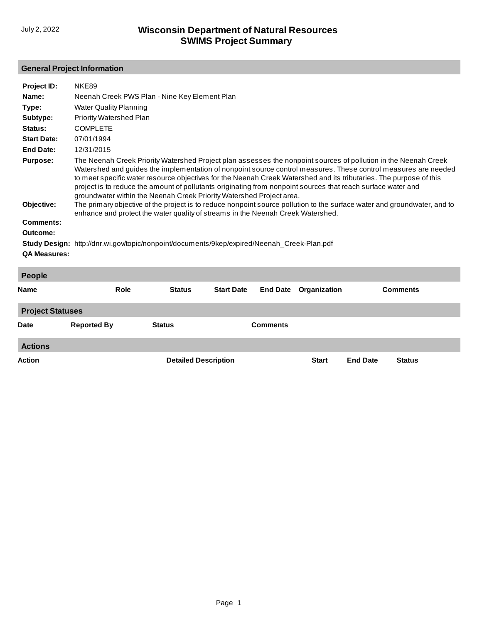## **General Project Information**

| Project ID:                   | NKE89                                                                                                                                                                                                                                                                                                                                                                                                                                                                                                                                                                                                                                                                       |                 |  |  |  |  |  |  |
|-------------------------------|-----------------------------------------------------------------------------------------------------------------------------------------------------------------------------------------------------------------------------------------------------------------------------------------------------------------------------------------------------------------------------------------------------------------------------------------------------------------------------------------------------------------------------------------------------------------------------------------------------------------------------------------------------------------------------|-----------------|--|--|--|--|--|--|
| Name:                         | Neenah Creek PWS Plan - Nine Key Element Plan                                                                                                                                                                                                                                                                                                                                                                                                                                                                                                                                                                                                                               |                 |  |  |  |  |  |  |
| Type:                         | <b>Water Quality Planning</b>                                                                                                                                                                                                                                                                                                                                                                                                                                                                                                                                                                                                                                               |                 |  |  |  |  |  |  |
| Subtype:                      | Priority Watershed Plan                                                                                                                                                                                                                                                                                                                                                                                                                                                                                                                                                                                                                                                     |                 |  |  |  |  |  |  |
| Status:                       | <b>COMPLETE</b>                                                                                                                                                                                                                                                                                                                                                                                                                                                                                                                                                                                                                                                             |                 |  |  |  |  |  |  |
| <b>Start Date:</b>            | 07/01/1994                                                                                                                                                                                                                                                                                                                                                                                                                                                                                                                                                                                                                                                                  |                 |  |  |  |  |  |  |
| <b>End Date:</b>              | 12/31/2015                                                                                                                                                                                                                                                                                                                                                                                                                                                                                                                                                                                                                                                                  |                 |  |  |  |  |  |  |
| <b>Purpose:</b><br>Objective: | The Neenah Creek Priority Watershed Project plan assesses the nonpoint sources of pollution in the Neenah Creek<br>Watershed and guides the implementation of nonpoint source control measures. These control measures are needed<br>to meet specific water resource objectives for the Neenah Creek Watershed and its tributaries. The purpose of this<br>project is to reduce the amount of pollutants originating from nonpoint sources that reach surface water and<br>groundwater within the Neenah Creek Priority Watershed Project area.<br>The primary objective of the project is to reduce nonpoint source pollution to the surface water and groundwater, and to |                 |  |  |  |  |  |  |
| <b>Comments:</b>              | enhance and protect the water quality of streams in the Neenah Creek Watershed.                                                                                                                                                                                                                                                                                                                                                                                                                                                                                                                                                                                             |                 |  |  |  |  |  |  |
| Outcome:                      |                                                                                                                                                                                                                                                                                                                                                                                                                                                                                                                                                                                                                                                                             |                 |  |  |  |  |  |  |
|                               | Study Design: http://dnr.wi.gov/topic/nonpoint/documents/9kep/expired/Neenah_Creek-Plan.pdf                                                                                                                                                                                                                                                                                                                                                                                                                                                                                                                                                                                 |                 |  |  |  |  |  |  |
| <b>QA Measures:</b>           |                                                                                                                                                                                                                                                                                                                                                                                                                                                                                                                                                                                                                                                                             |                 |  |  |  |  |  |  |
|                               |                                                                                                                                                                                                                                                                                                                                                                                                                                                                                                                                                                                                                                                                             |                 |  |  |  |  |  |  |
| <b>People</b>                 |                                                                                                                                                                                                                                                                                                                                                                                                                                                                                                                                                                                                                                                                             |                 |  |  |  |  |  |  |
| Name                          | Role<br><b>Start Date</b><br><b>Status</b><br><b>End Date</b><br>Organization                                                                                                                                                                                                                                                                                                                                                                                                                                                                                                                                                                                               | <b>Comments</b> |  |  |  |  |  |  |

| <b>Project Statuses</b> |                    |                             |                 |              |                 |               |  |  |
|-------------------------|--------------------|-----------------------------|-----------------|--------------|-----------------|---------------|--|--|
| <b>Date</b>             | <b>Reported By</b> | <b>Status</b>               | <b>Comments</b> |              |                 |               |  |  |
| <b>Actions</b>          |                    |                             |                 |              |                 |               |  |  |
| <b>Action</b>           |                    | <b>Detailed Description</b> |                 | <b>Start</b> | <b>End Date</b> | <b>Status</b> |  |  |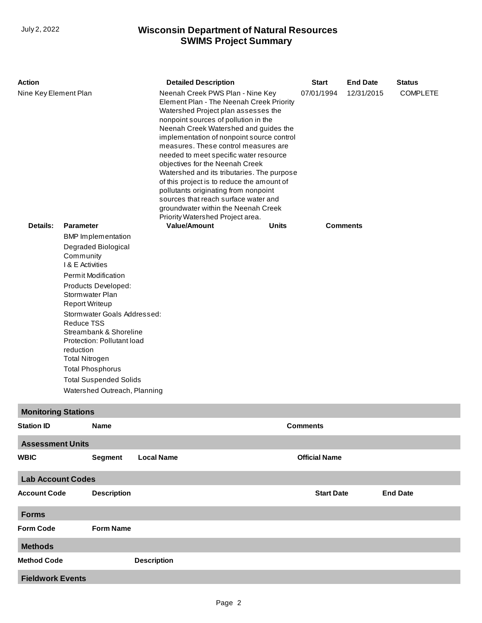## **SWIMS Project Summary** July 2, 2022 **Wisconsin Department of Natural Resources**

| <b>Action</b>              |                                    |                                                       | <b>Detailed Description</b> |                                                                                                                                                                                                                                                                                                                                                                                                                                                                                                                                                                                                                               |  | <b>Start</b> | <b>End Date</b>      | <b>Status</b>   |                 |  |
|----------------------------|------------------------------------|-------------------------------------------------------|-----------------------------|-------------------------------------------------------------------------------------------------------------------------------------------------------------------------------------------------------------------------------------------------------------------------------------------------------------------------------------------------------------------------------------------------------------------------------------------------------------------------------------------------------------------------------------------------------------------------------------------------------------------------------|--|--------------|----------------------|-----------------|-----------------|--|
| Nine Key Element Plan      |                                    |                                                       |                             | Neenah Creek PWS Plan - Nine Key<br>Element Plan - The Neenah Creek Priority<br>Watershed Project plan assesses the<br>nonpoint sources of pollution in the<br>Neenah Creek Watershed and guides the<br>implementation of nonpoint source control<br>measures. These control measures are<br>needed to meet specific water resource<br>objectives for the Neenah Creek<br>Watershed and its tributaries. The purpose<br>of this project is to reduce the amount of<br>pollutants originating from nonpoint<br>sources that reach surface water and<br>groundwater within the Neenah Creek<br>Priority Watershed Project area. |  |              | 07/01/1994           | 12/31/2015      | <b>COMPLETE</b> |  |
| Details:                   | <b>Parameter</b>                   | <b>BMP</b> Implementation                             |                             | <b>Value/Amount</b>                                                                                                                                                                                                                                                                                                                                                                                                                                                                                                                                                                                                           |  | <b>Units</b> |                      | <b>Comments</b> |                 |  |
|                            | Community<br>I & E Activities      | Degraded Biological                                   |                             |                                                                                                                                                                                                                                                                                                                                                                                                                                                                                                                                                                                                                               |  |              |                      |                 |                 |  |
|                            |                                    | <b>Permit Modification</b>                            |                             |                                                                                                                                                                                                                                                                                                                                                                                                                                                                                                                                                                                                                               |  |              |                      |                 |                 |  |
|                            | Stormwater Plan                    | Products Developed:                                   |                             |                                                                                                                                                                                                                                                                                                                                                                                                                                                                                                                                                                                                                               |  |              |                      |                 |                 |  |
|                            | <b>Report Writeup</b>              |                                                       |                             |                                                                                                                                                                                                                                                                                                                                                                                                                                                                                                                                                                                                                               |  |              |                      |                 |                 |  |
|                            | <b>Reduce TSS</b>                  | Stormwater Goals Addressed:<br>Streambank & Shoreline |                             |                                                                                                                                                                                                                                                                                                                                                                                                                                                                                                                                                                                                                               |  |              |                      |                 |                 |  |
|                            |                                    | Protection: Pollutant load                            |                             |                                                                                                                                                                                                                                                                                                                                                                                                                                                                                                                                                                                                                               |  |              |                      |                 |                 |  |
|                            | reduction<br><b>Total Nitrogen</b> |                                                       |                             |                                                                                                                                                                                                                                                                                                                                                                                                                                                                                                                                                                                                                               |  |              |                      |                 |                 |  |
|                            | <b>Total Phosphorus</b>            |                                                       |                             |                                                                                                                                                                                                                                                                                                                                                                                                                                                                                                                                                                                                                               |  |              |                      |                 |                 |  |
|                            |                                    | <b>Total Suspended Solids</b>                         |                             |                                                                                                                                                                                                                                                                                                                                                                                                                                                                                                                                                                                                                               |  |              |                      |                 |                 |  |
|                            |                                    | Watershed Outreach, Planning                          |                             |                                                                                                                                                                                                                                                                                                                                                                                                                                                                                                                                                                                                                               |  |              |                      |                 |                 |  |
| <b>Monitoring Stations</b> |                                    |                                                       |                             |                                                                                                                                                                                                                                                                                                                                                                                                                                                                                                                                                                                                                               |  |              |                      |                 |                 |  |
| <b>Station ID</b>          |                                    | <b>Name</b>                                           |                             |                                                                                                                                                                                                                                                                                                                                                                                                                                                                                                                                                                                                                               |  |              | <b>Comments</b>      |                 |                 |  |
| <b>Assessment Units</b>    |                                    |                                                       |                             |                                                                                                                                                                                                                                                                                                                                                                                                                                                                                                                                                                                                                               |  |              |                      |                 |                 |  |
| <b>WBIC</b>                |                                    | <b>Segment</b>                                        | <b>Local Name</b>           |                                                                                                                                                                                                                                                                                                                                                                                                                                                                                                                                                                                                                               |  |              | <b>Official Name</b> |                 |                 |  |
| <b>Lab Account Codes</b>   |                                    |                                                       |                             |                                                                                                                                                                                                                                                                                                                                                                                                                                                                                                                                                                                                                               |  |              |                      |                 |                 |  |
| <b>Account Code</b>        |                                    | <b>Description</b>                                    |                             |                                                                                                                                                                                                                                                                                                                                                                                                                                                                                                                                                                                                                               |  |              | <b>Start Date</b>    |                 | <b>End Date</b> |  |
| <b>Forms</b>               |                                    |                                                       |                             |                                                                                                                                                                                                                                                                                                                                                                                                                                                                                                                                                                                                                               |  |              |                      |                 |                 |  |
| <b>Form Code</b>           |                                    | <b>Form Name</b>                                      |                             |                                                                                                                                                                                                                                                                                                                                                                                                                                                                                                                                                                                                                               |  |              |                      |                 |                 |  |
| <b>Methods</b>             |                                    |                                                       |                             |                                                                                                                                                                                                                                                                                                                                                                                                                                                                                                                                                                                                                               |  |              |                      |                 |                 |  |
| <b>Method Code</b>         |                                    |                                                       | <b>Description</b>          |                                                                                                                                                                                                                                                                                                                                                                                                                                                                                                                                                                                                                               |  |              |                      |                 |                 |  |
| <b>Fieldwork Events</b>    |                                    |                                                       |                             |                                                                                                                                                                                                                                                                                                                                                                                                                                                                                                                                                                                                                               |  |              |                      |                 |                 |  |